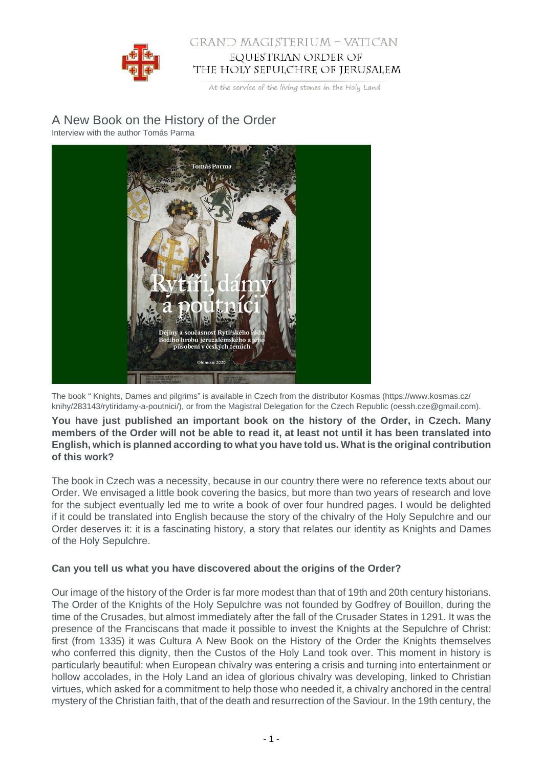

## GRAND MAGISTERIUM - VATICAN EQUESTRIAN ORDER OF THE HOLY SEPULCHRE OF JERUSALEM

At the service of the living stones in the Holy Land

# A New Book on the History of the Order

Interview with the author Tomás Parma



The book " Knights, Dames and pilgrims" is available in Czech from the distributor Kosmas (https://www.kosmas.cz/ knihy/283143/rytiridamy-a-poutnici/), or from the Magistral Delegation for the Czech Republic (oessh.cze@gmail.com).

**You have just published an important book on the history of the Order, in Czech. Many members of the Order will not be able to read it, at least not until it has been translated into English, which is planned according to what you have told us. What is the original contribution of this work?**

The book in Czech was a necessity, because in our country there were no reference texts about our Order. We envisaged a little book covering the basics, but more than two years of research and love for the subject eventually led me to write a book of over four hundred pages. I would be delighted if it could be translated into English because the story of the chivalry of the Holy Sepulchre and our Order deserves it: it is a fascinating history, a story that relates our identity as Knights and Dames of the Holy Sepulchre.

## **Can you tell us what you have discovered about the origins of the Order?**

Our image of the history of the Order is far more modest than that of 19th and 20th century historians. The Order of the Knights of the Holy Sepulchre was not founded by Godfrey of Bouillon, during the time of the Crusades, but almost immediately after the fall of the Crusader States in 1291. It was the presence of the Franciscans that made it possible to invest the Knights at the Sepulchre of Christ: first (from 1335) it was Cultura A New Book on the History of the Order the Knights themselves who conferred this dignity, then the Custos of the Holy Land took over. This moment in history is particularly beautiful: when European chivalry was entering a crisis and turning into entertainment or hollow accolades, in the Holy Land an idea of glorious chivalry was developing, linked to Christian virtues, which asked for a commitment to help those who needed it, a chivalry anchored in the central mystery of the Christian faith, that of the death and resurrection of the Saviour. In the 19th century, the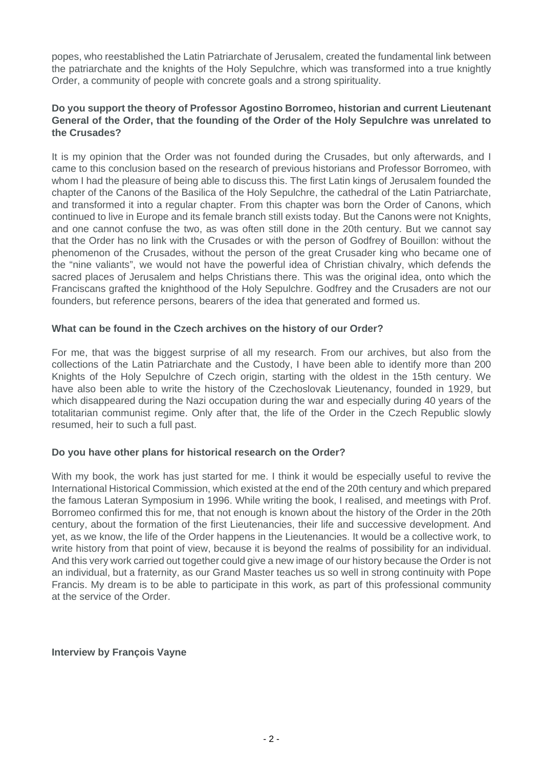popes, who reestablished the Latin Patriarchate of Jerusalem, created the fundamental link between the patriarchate and the knights of the Holy Sepulchre, which was transformed into a true knightly Order, a community of people with concrete goals and a strong spirituality.

#### **Do you support the theory of Professor Agostino Borromeo, historian and current Lieutenant General of the Order, that the founding of the Order of the Holy Sepulchre was unrelated to the Crusades?**

It is my opinion that the Order was not founded during the Crusades, but only afterwards, and I came to this conclusion based on the research of previous historians and Professor Borromeo, with whom I had the pleasure of being able to discuss this. The first Latin kings of Jerusalem founded the chapter of the Canons of the Basilica of the Holy Sepulchre, the cathedral of the Latin Patriarchate, and transformed it into a regular chapter. From this chapter was born the Order of Canons, which continued to live in Europe and its female branch still exists today. But the Canons were not Knights, and one cannot confuse the two, as was often still done in the 20th century. But we cannot say that the Order has no link with the Crusades or with the person of Godfrey of Bouillon: without the phenomenon of the Crusades, without the person of the great Crusader king who became one of the "nine valiants", we would not have the powerful idea of Christian chivalry, which defends the sacred places of Jerusalem and helps Christians there. This was the original idea, onto which the Franciscans grafted the knighthood of the Holy Sepulchre. Godfrey and the Crusaders are not our founders, but reference persons, bearers of the idea that generated and formed us.

#### **What can be found in the Czech archives on the history of our Order?**

For me, that was the biggest surprise of all my research. From our archives, but also from the collections of the Latin Patriarchate and the Custody, I have been able to identify more than 200 Knights of the Holy Sepulchre of Czech origin, starting with the oldest in the 15th century. We have also been able to write the history of the Czechoslovak Lieutenancy, founded in 1929, but which disappeared during the Nazi occupation during the war and especially during 40 years of the totalitarian communist regime. Only after that, the life of the Order in the Czech Republic slowly resumed, heir to such a full past.

## **Do you have other plans for historical research on the Order?**

With my book, the work has just started for me. I think it would be especially useful to revive the International Historical Commission, which existed at the end of the 20th century and which prepared the famous Lateran Symposium in 1996. While writing the book, I realised, and meetings with Prof. Borromeo confirmed this for me, that not enough is known about the history of the Order in the 20th century, about the formation of the first Lieutenancies, their life and successive development. And yet, as we know, the life of the Order happens in the Lieutenancies. It would be a collective work, to write history from that point of view, because it is beyond the realms of possibility for an individual. And this very work carried out together could give a new image of our history because the Order is not an individual, but a fraternity, as our Grand Master teaches us so well in strong continuity with Pope Francis. My dream is to be able to participate in this work, as part of this professional community at the service of the Order.

#### **Interview by François Vayne**